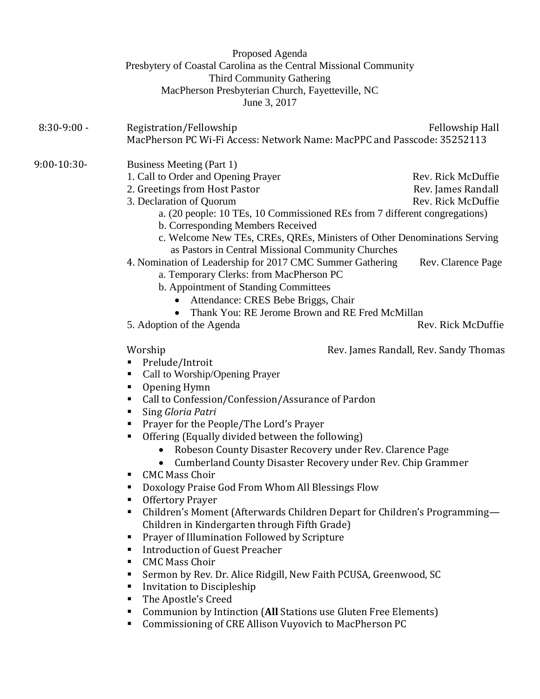| Proposed Agenda                                                   |
|-------------------------------------------------------------------|
| Presbytery of Coastal Carolina as the Central Missional Community |
| <b>Third Community Gathering</b>                                  |
| MacPherson Presbyterian Church, Fayetteville, NC                  |
| June 3, 2017                                                      |

8:30-9:00 - Registration/Fellowship Fellowship Fellowship Hall MacPherson PC Wi-Fi Access: Network Name: MacPPC and Passcode: 35252113

#### 9:00-10:30- Business Meeting (Part 1)

- 1. Call to Order and Opening Prayer Rev. Rick McDuffie
- 2. Greetings from Host Pastor **Rev.** Rev. James Randall
- 3. Declaration of Quorum Rev. Rick McDuffie
	- a. (20 people: 10 TEs, 10 Commissioned REs from 7 different congregations)
	- b. Corresponding Members Received
	- c. Welcome New TEs, CREs, QREs, Ministers of Other Denominations Serving as Pastors in Central Missional Community Churches
- 4. Nomination of Leadership for 2017 CMC Summer Gathering Rev. Clarence Page
	- a. Temporary Clerks: from MacPherson PC
	- b. Appointment of Standing Committees
		- Attendance: CRES Bebe Briggs, Chair
		- Thank You: RE Jerome Brown and RE Fred McMillan
- 5. Adoption of the Agenda Rev. Rick McDuffie

Worship **Rev.** James Randall, Rev. Sandy Thomas

- Prelude/Introit
- Call to Worship/Opening Prayer
- Opening Hymn
- Call to Confession/Confession/Assurance of Pardon
- Sing *Gloria Patri*
- **Prayer for the People/The Lord's Prayer**
- Offering (Equally divided between the following)
	- Robeson County Disaster Recovery under Rev. Clarence Page
	- Cumberland County Disaster Recovery under Rev. Chip Grammer
- CMC Mass Choir
- Doxology Praise God From Whom All Blessings Flow
- **•** Offertory Prayer
- Children's Moment (Afterwards Children Depart for Children's Programming— Children in Kindergarten through Fifth Grade)
- **Prayer of Illumination Followed by Scripture**
- **Introduction of Guest Preacher**
- **CMC Mass Choir**
- Sermon by Rev. Dr. Alice Ridgill, New Faith PCUSA, Greenwood, SC
- **Invitation to Discipleship**
- **The Apostle's Creed**
- Communion by Intinction (**All** Stations use Gluten Free Elements)
- Commissioning of CRE Allison Vuyovich to MacPherson PC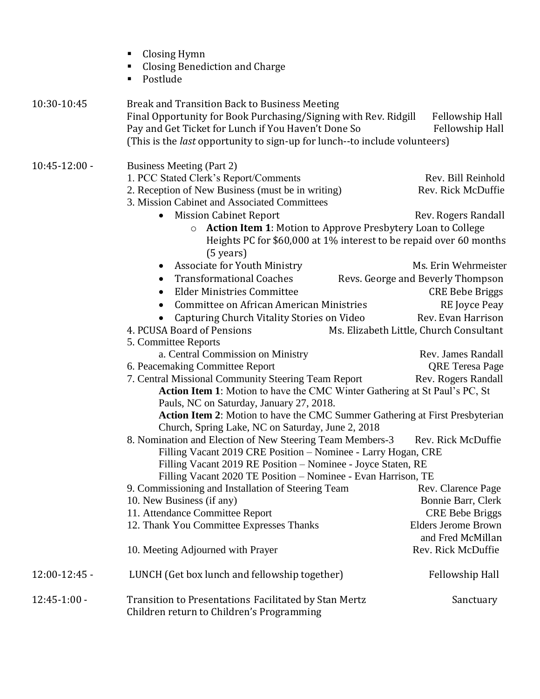|                 | Closing Hymn<br><b>Closing Benediction and Charge</b><br>п<br>Postlude                                                                                                                                                                                                                             |                                                                                |  |
|-----------------|----------------------------------------------------------------------------------------------------------------------------------------------------------------------------------------------------------------------------------------------------------------------------------------------------|--------------------------------------------------------------------------------|--|
| 10:30-10:45     | Break and Transition Back to Business Meeting<br>Final Opportunity for Book Purchasing/Signing with Rev. Ridgill<br>Fellowship Hall<br>Pay and Get Ticket for Lunch if You Haven't Done So<br>Fellowship Hall<br>(This is the <i>last</i> opportunity to sign-up for lunch--to include volunteers) |                                                                                |  |
| $10:45-12:00 -$ | Business Meeting (Part 2)<br>1. PCC Stated Clerk's Report/Comments<br>2. Reception of New Business (must be in writing)<br>3. Mission Cabinet and Associated Committees                                                                                                                            | Rev. Bill Reinhold<br>Rev. Rick McDuffie                                       |  |
|                 | <b>Mission Cabinet Report</b><br>Rev. Rogers Randall<br>$\bullet$<br><b>Action Item 1: Motion to Approve Presbytery Loan to College</b><br>$\circ$<br>Heights PC for \$60,000 at 1% interest to be repaid over 60 months<br>$(5 \text{ years})$<br>Ms. Erin Wehrmeister                            |                                                                                |  |
|                 | <b>Associate for Youth Ministry</b><br><b>Transformational Coaches</b><br><b>Elder Ministries Committee</b><br>$\bullet$                                                                                                                                                                           | Revs. George and Beverly Thompson<br><b>CRE Bebe Briggs</b>                    |  |
|                 | Committee on African American Ministries<br>Capturing Church Vitality Stories on Video<br>4. PCUSA Board of Pensions<br>5. Committee Reports                                                                                                                                                       | RE Joyce Peay<br>Rev. Evan Harrison<br>Ms. Elizabeth Little, Church Consultant |  |
|                 | a. Central Commission on Ministry<br>6. Peacemaking Committee Report<br>7. Central Missional Community Steering Team Report<br>Action Item 1: Motion to have the CMC Winter Gathering at St Paul's PC, St                                                                                          | <b>Rev. James Randall</b><br><b>QRE</b> Teresa Page<br>Rev. Rogers Randall     |  |
|                 | Pauls, NC on Saturday, January 27, 2018.<br>Action Item 2: Motion to have the CMC Summer Gathering at First Presbyterian<br>Church, Spring Lake, NC on Saturday, June 2, 2018                                                                                                                      |                                                                                |  |
|                 | 8. Nomination and Election of New Steering Team Members-3<br>Rev. Rick McDuffie<br>Filling Vacant 2019 CRE Position - Nominee - Larry Hogan, CRE<br>Filling Vacant 2019 RE Position - Nominee - Joyce Staten, RE<br>Filling Vacant 2020 TE Position - Nominee - Evan Harrison, TE                  |                                                                                |  |
|                 | 9. Commissioning and Installation of Steering Team<br>10. New Business (if any)<br>11. Attendance Committee Report                                                                                                                                                                                 | Rev. Clarence Page<br>Bonnie Barr, Clerk<br><b>CRE</b> Bebe Briggs             |  |

12. Thank You Committee Expresses Thanks Elders Jerome Brown and Fred McMillan 10. Meeting Adjourned with Prayer Rev. Rick McDuffie 12:00-12:45 - LUNCH (Get box lunch and fellowship together) Fellowship Hall 12:45-1:00 - Transition to Presentations Facilitated by Stan Mertz Sanctuary

Children return to Children's Programming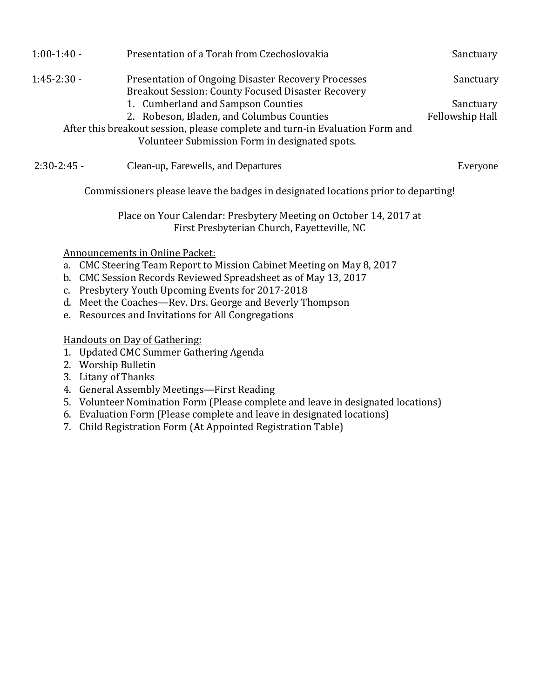| $1:00-1:40-$                                                                 | Presentation of a Torah from Czechoslovakia                                                                      | Sanctuary       |
|------------------------------------------------------------------------------|------------------------------------------------------------------------------------------------------------------|-----------------|
| $1:45 - 2:30 -$                                                              | <b>Presentation of Ongoing Disaster Recovery Processes</b><br>Breakout Session: County Focused Disaster Recovery | Sanctuary       |
|                                                                              | 1. Cumberland and Sampson Counties                                                                               | Sanctuary       |
|                                                                              | 2. Robeson, Bladen, and Columbus Counties                                                                        | Fellowship Hall |
| After this breakout session, please complete and turn-in Evaluation Form and |                                                                                                                  |                 |
|                                                                              | Volunteer Submission Form in designated spots.                                                                   |                 |
| $2:30-2:45$ -                                                                | Clean-up, Farewells, and Departures                                                                              | Everyone        |

Commissioners please leave the badges in designated locations prior to departing!

Place on Your Calendar: Presbytery Meeting on October 14, 2017 at First Presbyterian Church, Fayetteville, NC

### Announcements in Online Packet:

- a. CMC Steering Team Report to Mission Cabinet Meeting on May 8, 2017
- b. CMC Session Records Reviewed Spreadsheet as of May 13, 2017
- c. Presbytery Youth Upcoming Events for 2017-2018
- d. Meet the Coaches—Rev. Drs. George and Beverly Thompson
- e. Resources and Invitations for All Congregations

## Handouts on Day of Gathering:

- 1. Updated CMC Summer Gathering Agenda
- 2. Worship Bulletin
- 3. Litany of Thanks
- 4. General Assembly Meetings—First Reading
- 5. Volunteer Nomination Form (Please complete and leave in designated locations)
- 6. Evaluation Form (Please complete and leave in designated locations)
- 7. Child Registration Form (At Appointed Registration Table)